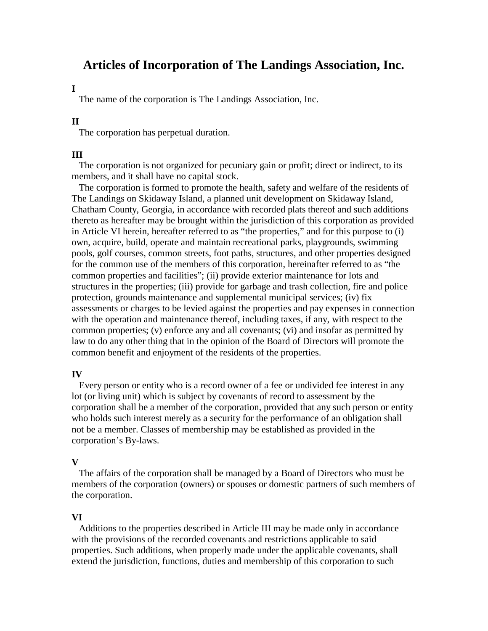# **Articles of Incorporation of The Landings Association, Inc.**

### **I**

The name of the corporation is The Landings Association, Inc.

### **II**

The corporation has perpetual duration.

### **III**

The corporation is not organized for pecuniary gain or profit; direct or indirect, to its members, and it shall have no capital stock.

 The corporation is formed to promote the health, safety and welfare of the residents of The Landings on Skidaway Island, a planned unit development on Skidaway Island, Chatham County, Georgia, in accordance with recorded plats thereof and such additions thereto as hereafter may be brought within the jurisdiction of this corporation as provided in Article VI herein, hereafter referred to as "the properties," and for this purpose to (i) own, acquire, build, operate and maintain recreational parks, playgrounds, swimming pools, golf courses, common streets, foot paths, structures, and other properties designed for the common use of the members of this corporation, hereinafter referred to as "the common properties and facilities"; (ii) provide exterior maintenance for lots and structures in the properties; (iii) provide for garbage and trash collection, fire and police protection, grounds maintenance and supplemental municipal services; (iv) fix assessments or charges to be levied against the properties and pay expenses in connection with the operation and maintenance thereof, including taxes, if any, with respect to the common properties; (v) enforce any and all covenants; (vi) and insofar as permitted by law to do any other thing that in the opinion of the Board of Directors will promote the common benefit and enjoyment of the residents of the properties.

### **IV**

Every person or entity who is a record owner of a fee or undivided fee interest in any lot (or living unit) which is subject by covenants of record to assessment by the corporation shall be a member of the corporation, provided that any such person or entity who holds such interest merely as a security for the performance of an obligation shall not be a member. Classes of membership may be established as provided in the corporation's By-laws.

#### **V**

 The affairs of the corporation shall be managed by a Board of Directors who must be members of the corporation (owners) or spouses or domestic partners of such members of the corporation.

### **VI**

Additions to the properties described in Article III may be made only in accordance with the provisions of the recorded covenants and restrictions applicable to said properties. Such additions, when properly made under the applicable covenants, shall extend the jurisdiction, functions, duties and membership of this corporation to such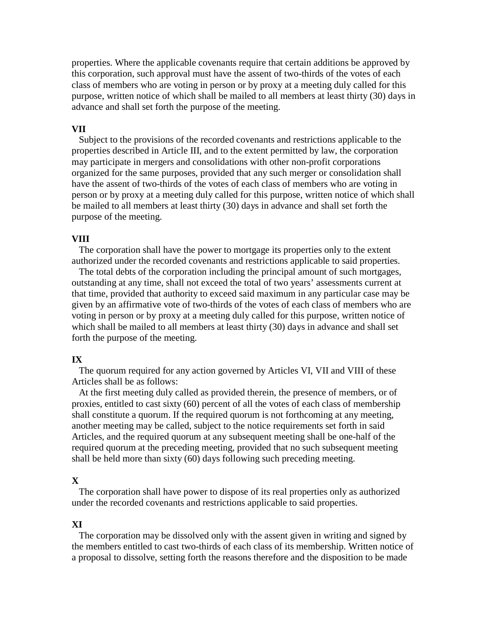properties. Where the applicable covenants require that certain additions be approved by this corporation, such approval must have the assent of two-thirds of the votes of each class of members who are voting in person or by proxy at a meeting duly called for this purpose, written notice of which shall be mailed to all members at least thirty (30) days in advance and shall set forth the purpose of the meeting.

#### **VII**

Subject to the provisions of the recorded covenants and restrictions applicable to the properties described in Article III, and to the extent permitted by law, the corporation may participate in mergers and consolidations with other non-profit corporations organized for the same purposes, provided that any such merger or consolidation shall have the assent of two-thirds of the votes of each class of members who are voting in person or by proxy at a meeting duly called for this purpose, written notice of which shall be mailed to all members at least thirty (30) days in advance and shall set forth the purpose of the meeting.

#### **VIII**

The corporation shall have the power to mortgage its properties only to the extent authorized under the recorded covenants and restrictions applicable to said properties.

 The total debts of the corporation including the principal amount of such mortgages, outstanding at any time, shall not exceed the total of two years' assessments current at that time, provided that authority to exceed said maximum in any particular case may be given by an affirmative vote of two-thirds of the votes of each class of members who are voting in person or by proxy at a meeting duly called for this purpose, written notice of which shall be mailed to all members at least thirty (30) days in advance and shall set forth the purpose of the meeting.

### **IX**

The quorum required for any action governed by Articles VI, VII and VIII of these Articles shall be as follows:

 At the first meeting duly called as provided therein, the presence of members, or of proxies, entitled to cast sixty (60) percent of all the votes of each class of membership shall constitute a quorum. If the required quorum is not forthcoming at any meeting, another meeting may be called, subject to the notice requirements set forth in said Articles, and the required quorum at any subsequent meeting shall be one-half of the required quorum at the preceding meeting, provided that no such subsequent meeting shall be held more than sixty (60) days following such preceding meeting.

#### **X**

The corporation shall have power to dispose of its real properties only as authorized under the recorded covenants and restrictions applicable to said properties.

### **XI**

The corporation may be dissolved only with the assent given in writing and signed by the members entitled to cast two-thirds of each class of its membership. Written notice of a proposal to dissolve, setting forth the reasons therefore and the disposition to be made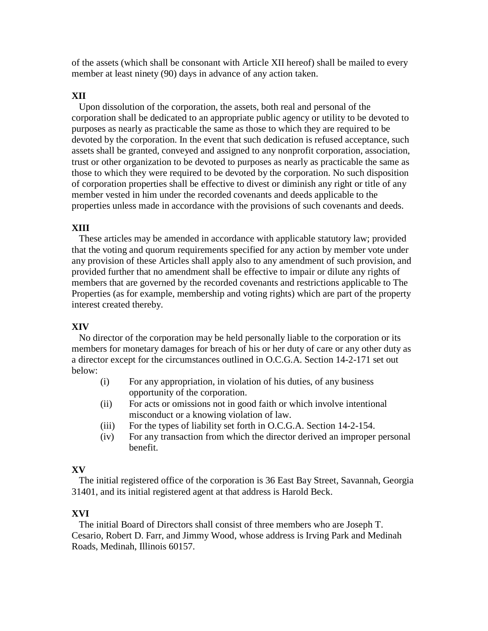of the assets (which shall be consonant with Article XII hereof) shall be mailed to every member at least ninety (90) days in advance of any action taken.

# **XII**

Upon dissolution of the corporation, the assets, both real and personal of the corporation shall be dedicated to an appropriate public agency or utility to be devoted to purposes as nearly as practicable the same as those to which they are required to be devoted by the corporation. In the event that such dedication is refused acceptance, such assets shall be granted, conveyed and assigned to any nonprofit corporation, association, trust or other organization to be devoted to purposes as nearly as practicable the same as those to which they were required to be devoted by the corporation. No such disposition of corporation properties shall be effective to divest or diminish any right or title of any member vested in him under the recorded covenants and deeds applicable to the properties unless made in accordance with the provisions of such covenants and deeds.

# **XIII**

These articles may be amended in accordance with applicable statutory law; provided that the voting and quorum requirements specified for any action by member vote under any provision of these Articles shall apply also to any amendment of such provision, and provided further that no amendment shall be effective to impair or dilute any rights of members that are governed by the recorded covenants and restrictions applicable to The Properties (as for example, membership and voting rights) which are part of the property interest created thereby.

# **XIV**

 No director of the corporation may be held personally liable to the corporation or its members for monetary damages for breach of his or her duty of care or any other duty as a director except for the circumstances outlined in O.C.G.A. Section 14-2-171 set out below:

- (i) For any appropriation, in violation of his duties, of any business opportunity of the corporation.
- (ii) For acts or omissions not in good faith or which involve intentional misconduct or a knowing violation of law.
- (iii) For the types of liability set forth in O.C.G.A. Section 14-2-154.
- (iv) For any transaction from which the director derived an improper personal benefit.

# **XV**

The initial registered office of the corporation is 36 East Bay Street, Savannah, Georgia 31401, and its initial registered agent at that address is Harold Beck.

# **XVI**

The initial Board of Directors shall consist of three members who are Joseph T. Cesario, Robert D. Farr, and Jimmy Wood, whose address is Irving Park and Medinah Roads, Medinah, Illinois 60157.